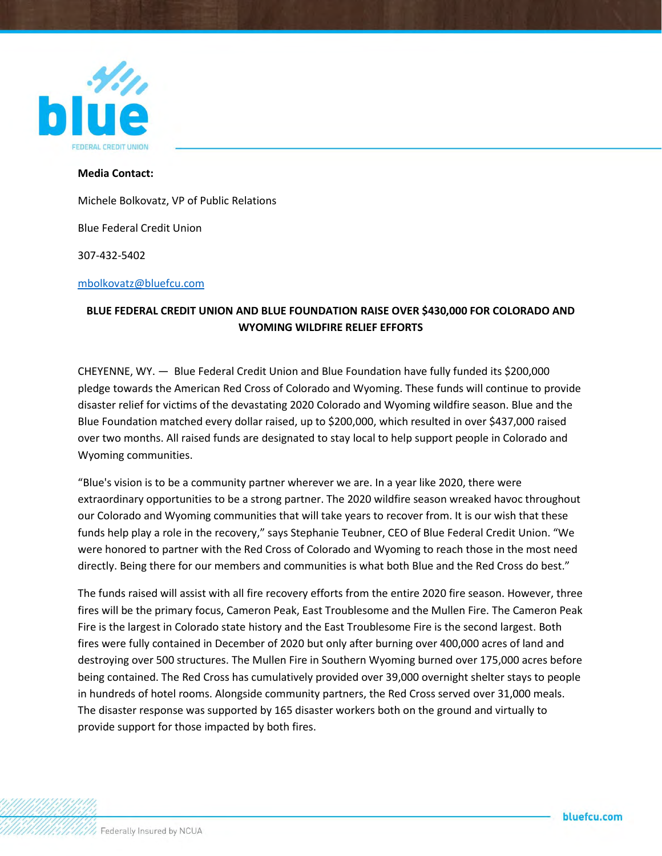

## **Media Contact:**

Michele Bolkovatz, VP of Public Relations

Blue Federal Credit Union

307-432-5402

[mbolkovatz@bluefcu.com](mailto:mbolkovatz@bluefcu.com)

## **BLUE FEDERAL CREDIT UNION AND BLUE FOUNDATION RAISE OVER \$430,000 FOR COLORADO AND WYOMING WILDFIRE RELIEF EFFORTS**

CHEYENNE, WY. — Blue Federal Credit Union and Blue Foundation have fully funded its \$200,000 pledge towards the American Red Cross of Colorado and Wyoming. These funds will continue to provide disaster relief for victims of the devastating 2020 Colorado and Wyoming wildfire season. Blue and the Blue Foundation matched every dollar raised, up to \$200,000, which resulted in over \$437,000 raised over two months. All raised funds are designated to stay local to help support people in Colorado and Wyoming communities.

"Blue's vision is to be a community partner wherever we are. In a year like 2020, there were extraordinary opportunities to be a strong partner. The 2020 wildfire season wreaked havoc throughout our Colorado and Wyoming communities that will take years to recover from. It is our wish that these funds help play a role in the recovery," says Stephanie Teubner, CEO of Blue Federal Credit Union. "We were honored to partner with the Red Cross of Colorado and Wyoming to reach those in the most need directly. Being there for our members and communities is what both Blue and the Red Cross do best."

The funds raised will assist with all fire recovery efforts from the entire 2020 fire season. However, three fires will be the primary focus, Cameron Peak, East Troublesome and the Mullen Fire. The Cameron Peak Fire is the largest in Colorado state history and the East Troublesome Fire is the second largest. Both fires were fully contained in December of 2020 but only after burning over 400,000 acres of land and destroying over 500 structures. The Mullen Fire in Southern Wyoming burned over 175,000 acres before being contained. The Red Cross has cumulatively provided over 39,000 overnight shelter stays to people in hundreds of hotel rooms. Alongside community partners, the Red Cross served over 31,000 meals. The disaster response was supported by 165 disaster workers both on the ground and virtually to provide support for those impacted by both fires.